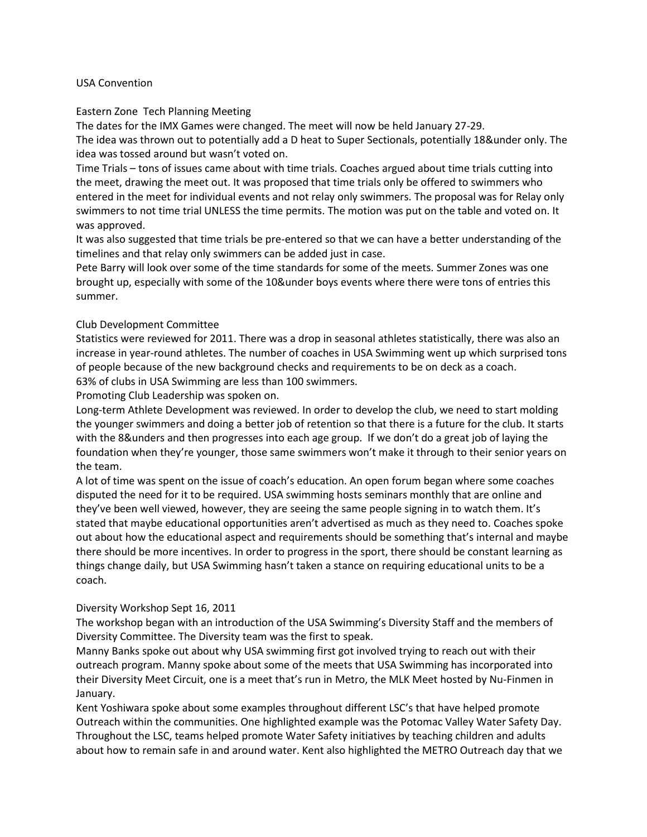### USA Convention

### Eastern Zone Tech Planning Meeting

The dates for the IMX Games were changed. The meet will now be held January 27-29.

The idea was thrown out to potentially add a D heat to Super Sectionals, potentially 18&under only. The idea was tossed around but wasn't voted on.

Time Trials – tons of issues came about with time trials. Coaches argued about time trials cutting into the meet, drawing the meet out. It was proposed that time trials only be offered to swimmers who entered in the meet for individual events and not relay only swimmers. The proposal was for Relay only swimmers to not time trial UNLESS the time permits. The motion was put on the table and voted on. It was approved.

It was also suggested that time trials be pre-entered so that we can have a better understanding of the timelines and that relay only swimmers can be added just in case.

Pete Barry will look over some of the time standards for some of the meets. Summer Zones was one brought up, especially with some of the 10&under boys events where there were tons of entries this summer.

## Club Development Committee

Statistics were reviewed for 2011. There was a drop in seasonal athletes statistically, there was also an increase in year-round athletes. The number of coaches in USA Swimming went up which surprised tons of people because of the new background checks and requirements to be on deck as a coach.

63% of clubs in USA Swimming are less than 100 swimmers.

Promoting Club Leadership was spoken on.

Long-term Athlete Development was reviewed. In order to develop the club, we need to start molding the younger swimmers and doing a better job of retention so that there is a future for the club. It starts with the 8&unders and then progresses into each age group. If we don't do a great job of laying the foundation when they're younger, those same swimmers won't make it through to their senior years on the team.

A lot of time was spent on the issue of coach's education. An open forum began where some coaches disputed the need for it to be required. USA swimming hosts seminars monthly that are online and they've been well viewed, however, they are seeing the same people signing in to watch them. It's stated that maybe educational opportunities aren't advertised as much as they need to. Coaches spoke out about how the educational aspect and requirements should be something that's internal and maybe there should be more incentives. In order to progress in the sport, there should be constant learning as things change daily, but USA Swimming hasn't taken a stance on requiring educational units to be a coach.

## Diversity Workshop Sept 16, 2011

The workshop began with an introduction of the USA Swimming's Diversity Staff and the members of Diversity Committee. The Diversity team was the first to speak.

Manny Banks spoke out about why USA swimming first got involved trying to reach out with their outreach program. Manny spoke about some of the meets that USA Swimming has incorporated into their Diversity Meet Circuit, one is a meet that's run in Metro, the MLK Meet hosted by Nu-Finmen in January.

Kent Yoshiwara spoke about some examples throughout different LSC's that have helped promote Outreach within the communities. One highlighted example was the Potomac Valley Water Safety Day. Throughout the LSC, teams helped promote Water Safety initiatives by teaching children and adults about how to remain safe in and around water. Kent also highlighted the METRO Outreach day that we